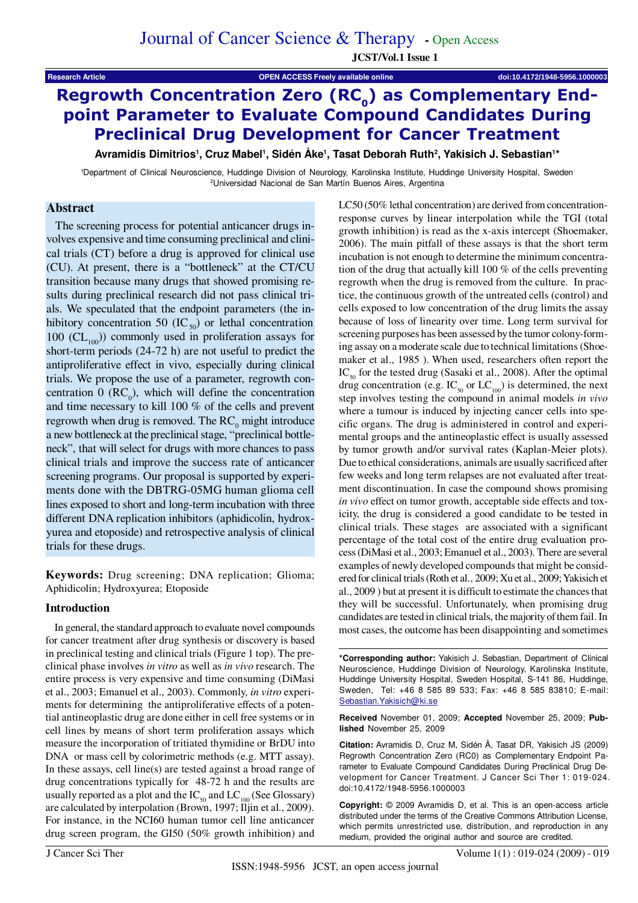**Research Article OPEN ACCESS Freely available online doi:10.4172/1948-5956.1000003**

# Regrowth Concentration Zero  $(RC_0)$  as Complementary Endpoint Parameter to Evaluate Compound Candidates During Preclinical Drug Development for Cancer Treatment

**Avramidis Dimitrios1, Cruz Mabel1, Sidén Åke1, Tasat Deborah Ruth2, Yakisich J. Sebastian1\***

1 Department of Clinical Neuroscience, Huddinge Division of Neurology, Karolinska Institute, Huddinge University Hospital, Sweden 2Universidad Nacional de San Martín Buenos Aires, Argentina

# **Abstract**

The screening process for potential anticancer drugs involves expensive and time consuming preclinical and clinical trials (CT) before a drug is approved for clinical use (CU). At present, there is a "bottleneck" at the CT/CU transition because many drugs that showed promising results during preclinical research did not pass clinical trials. We speculated that the endpoint parameters (the inhibitory concentration 50 (IC $_{50}$ ) or lethal concentration 100 ( $CL_{100}$ ) commonly used in proliferation assays for short-term periods (24-72 h) are not useful to predict the antiproliferative effect in vivo, especially during clinical trials. We propose the use of a parameter, regrowth concentration  $0 \text{ (RC}_0)$ , which will define the concentration and time necessary to kill 100 % of the cells and prevent regrowth when drug is removed. The  $RC_0$  might introduce a new bottleneck at the preclinical stage, "preclinical bottleneck", that will select for drugs with more chances to pass clinical trials and improve the success rate of anticancer screening programs. Our proposal is supported by experiments done with the DBTRG-05MG human glioma cell lines exposed to short and long-term incubation with three different DNA replication inhibitors (aphidicolin, hydroxyurea and etoposide) and retrospective analysis of clinical trials for these drugs.

**Keywords:** Drug screening; DNA replication; Glioma; Aphidicolin; Hydroxyurea; Etoposide

# **Introduction**

In general, the standard approach to evaluate novel compounds for cancer treatment after drug synthesis or discovery is based in preclinical testing and clinical trials (Figure 1 top). The preclinical phase involves *in vitro* as well as *in vivo* research. The entire process is very expensive and time consuming (DiMasi et al., 2003; Emanuel et al., 2003). Commonly, *in vitro* experiments for determining the antiproliferative effects of a potential antineoplastic drug are done either in cell free systems or in cell lines by means of short term proliferation assays which measure the incorporation of tritiated thymidine or BrDU into DNA or mass cell by colorimetric methods (e.g. MTT assay). In these assays, cell line(s) are tested against a broad range of drug concentrations typically for 48-72 h and the results are usually reported as a plot and the  $IC_{50}$  and  $LC_{100}$  (See Glossary) are calculated by interpolation (Brown, 1997; Iljin et al., 2009). For instance, in the NCI60 human tumor cell line anticancer drug screen program, the GI50 (50% growth inhibition) and

LC50 (50% lethal concentration) are derived from concentrationresponse curves by linear interpolation while the TGI (total growth inhibition) is read as the x-axis intercept (Shoemaker, 2006). The main pitfall of these assays is that the short term incubation is not enough to determine the minimum concentration of the drug that actually kill 100 % of the cells preventing regrowth when the drug is removed from the culture. In practice, the continuous growth of the untreated cells (control) and cells exposed to low concentration of the drug limits the assay because of loss of linearity over time. Long term survival for screening purposes has been assessed by the tumor colony-forming assay on a moderate scale due to technical limitations (Shoemaker et al., 1985 ). When used, researchers often report the  $IC_{\epsilon_0}$  for the tested drug (Sasaki et al., 2008). After the optimal drug concentration (e.g.  $IC_{50}$  or  $LC_{100}$ ) is determined, the next step involves testing the compound in animal models *in vivo* where a tumour is induced by injecting cancer cells into specific organs. The drug is administered in control and experimental groups and the antineoplastic effect is usually assessed by tumor growth and/or survival rates (Kaplan-Meier plots). Due to ethical considerations, animals are usually sacrificed after few weeks and long term relapses are not evaluated after treatment discontinuation. In case the compound shows promising *in vivo* effect on tumor growth, acceptable side effects and toxicity, the drug is considered a good candidate to be tested in clinical trials. These stages are associated with a significant percentage of the total cost of the entire drug evaluation process (DiMasi et al., 2003; Emanuel et al., 2003). There are several examples of newly developed compounds that might be considered for clinical trials (Roth et al., 2009; Xu et al., 2009; Yakisich et al., 2009 ) but at present it is difficult to estimate the chances that they will be successful. Unfortunately, when promising drug candidates are tested in clinical trials, the majority of them fail. In most cases, the outcome has been disappointing and sometimes

**\*Corresponding author:** Yakisich J. Sebastian, Department of Clinical Neuroscience, Huddinge Division of Neurology, Karolinska Institute, Huddinge University Hospital, Sweden Hospital, S-141 86, Huddinge, Sweden, Tel: +46 8 585 89 533; Fax: +46 8 585 83810; E-mail: Sebastian.Yakisich@ki.se

**Received** November 01, 2009; **Accepted** November 25, 2009; **Published** November 25, 2009

**Citation:** Avramidis D, Cruz M, Sidén Å, Tasat DR, Yakisich JS (2009) Regrowth Concentration Zero (RC0) as Complementary Endpoint Parameter to Evaluate Compound Candidates During Preclinical Drug Development for Cancer Treatment. J Cancer Sci Ther 1: 019-024. doi:10.4172/1948-5956.1000003

**Copyright:** © 2009 Avramidis D, et al. This is an open-access article distributed under the terms of the Creative Commons Attribution License, which permits unrestricted use, distribution, and reproduction in any medium, provided the original author and source are credited.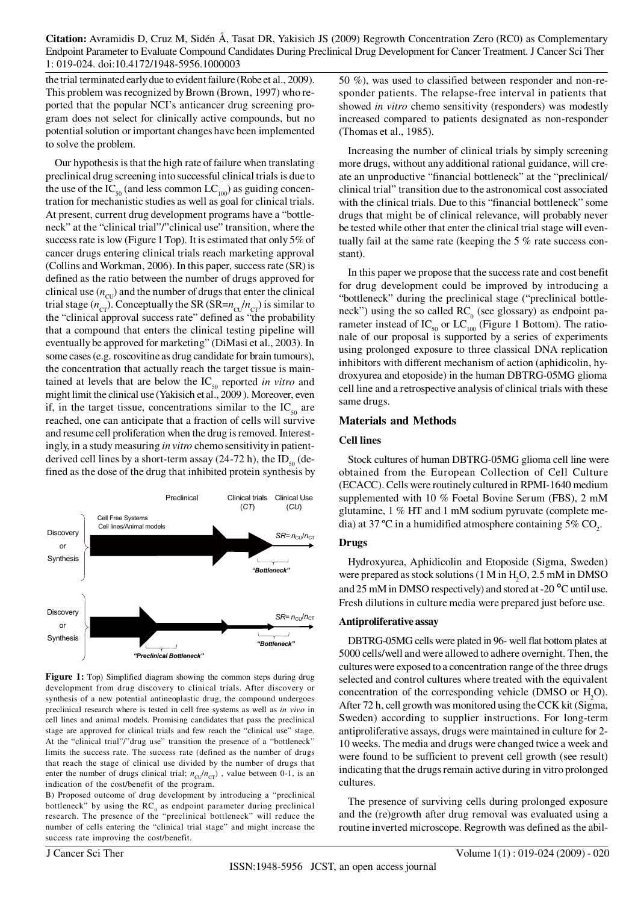**Citation:** Avramidis D, Cruz M, Sidén Å, Tasat DR, Yakisich JS (2009) Regrowth Concentration Zero (RC0) as Complementary Endpoint Parameter to Evaluate Compound Candidates During Preclinical Drug Development for Cancer Treatment. J Cancer Sci Ther 1: 019-024. doi:10.4172/1948-5956.1000003

the trial terminated early due to evident failure (Robe et al., 2009). This problem was recognized by Brown (Brown, 1997) who reported that the popular NCI's anticancer drug screening program does not select for clinically active compounds, but no potential solution or important changes have been implemented to solve the problem.

Our hypothesis is that the high rate of failure when translating preclinical drug screening into successful clinical trials is due to the use of the  $IC_{50}$  (and less common  $LC_{100}$ ) as guiding concentration for mechanistic studies as well as goal for clinical trials. At present, current drug development programs have a "bottleneck" at the "clinical trial"/"clinical use" transition, where the success rate is low (Figure 1 Top). It is estimated that only 5% of cancer drugs entering clinical trials reach marketing approval (Collins and Workman, 2006). In this paper, success rate (SR) is defined as the ratio between the number of drugs approved for clinical use  $(n_{\text{cr}})$  and the number of drugs that enter the clinical trial stage  $(n_{\text{cr}})$ . Conceptually the SR (SR= $n_{\text{cr}}/n_{\text{cr}}$ ) is similar to the "clinical approval success rate" defined as "the probability that a compound that enters the clinical testing pipeline will eventually be approved for marketing" (DiMasi et al., 2003). In some cases (e.g. roscovitine as drug candidate for brain tumours), the concentration that actually reach the target tissue is maintained at levels that are below the  $IC_{\leq 0}$  reported *in vitro* and might limit the clinical use (Yakisich et al., 2009 ). Moreover, even if, in the target tissue, concentrations similar to the  $IC_{50}$  are reached, one can anticipate that a fraction of cells will survive and resume cell proliferation when the drug is removed. Interestingly, in a study measuring *in vitro* chemo sensitivity in patientderived cell lines by a short-term assay (24-72 h), the  $ID_{50}$  (defined as the dose of the drug that inhibited protein synthesis by



Figure 1: Top) Simplified diagram showing the common steps during drug development from drug discovery to clinical trials. After discovery or synthesis of a new potential antineoplastic drug, the compound undergoes preclinical research where is tested in cell free systems as well as *in vivo* in cell lines and animal models. Promising candidates that pass the preclinical stage are approved for clinical trials and few reach the "clinical use" stage. At the "clinical trial"/"drug use" transition the presence of a "bottleneck" limits the success rate. The success rate (defined as the number of drugs that reach the stage of clinical use divided by the number of drugs that enter the number of drugs clinical trial;  $n_{\text{CU}}/n_{\text{CT}}$ ), value between 0-1, is an indication of the cost/benefit of the program.

B) Proposed outcome of drug development by introducing a "preclinical bottleneck" by using the  $RC_0$  as endpoint parameter during preclinical research. The presence of the "preclinical bottleneck" will reduce the number of cells entering the "clinical trial stage" and might increase the success rate improving the cost/benefit.

50 %), was used to classified between responder and non-responder patients. The relapse-free interval in patients that showed *in vitro* chemo sensitivity (responders) was modestly increased compared to patients designated as non-responder (Thomas et al., 1985).

Increasing the number of clinical trials by simply screening more drugs, without any additional rational guidance, will create an unproductive "financial bottleneck" at the "preclinical/ clinical trial" transition due to the astronomical cost associated with the clinical trials. Due to this "financial bottleneck" some drugs that might be of clinical relevance, will probably never be tested while other that enter the clinical trial stage will eventually fail at the same rate (keeping the 5 % rate success constant).

In this paper we propose that the success rate and cost benefit for drug development could be improved by introducing a "bottleneck" during the preclinical stage ("preclinical bottleneck") using the so called  $RC_0$  (see glossary) as endpoint parameter instead of IC<sub>50</sub> or LC<sub>100</sub> (Figure 1 Bottom). The rationale of our proposal is supported by a series of experiments using prolonged exposure to three classical DNA replication inhibitors with different mechanism of action (aphidicolin, hydroxyurea and etoposide) in the human DBTRG-05MG glioma cell line and a retrospective analysis of clinical trials with these same drugs.

#### **Materials and Methods**

#### **Cell lines**

Stock cultures of human DBTRG-05MG glioma cell line were obtained from the European Collection of Cell Culture (ECACC). Cells were routinely cultured in RPMI-1640 medium supplemented with 10 % Foetal Bovine Serum (FBS), 2 mM glutamine, 1 % HT and 1 mM sodium pyruvate (complete media) at 37 °C in a humidified atmosphere containing 5%  $\mathrm{CO}_2^2$ .

#### **Drugs**

Hydroxyurea, Aphidicolin and Etoposide (Sigma, Sweden) were prepared as stock solutions (1 M in  $H_2O$ , 2.5 mM in DMSO and 25 mM in DMSO respectively) and stored at -20 °C until use. Fresh dilutions in culture media were prepared just before use.

#### **Antiproliferative assay**

DBTRG-05MG cells were plated in 96- well flat bottom plates at 5000 cells/well and were allowed to adhere overnight. Then, the cultures were exposed to a concentration range of the three drugs selected and control cultures where treated with the equivalent concentration of the corresponding vehicle (DMSO or  $H_2O$ ). After 72 h, cell growth was monitored using the CCK kit (Sigma, Sweden) according to supplier instructions. For long-term antiproliferative assays, drugs were maintained in culture for 2- 10 weeks. The media and drugs were changed twice a week and were found to be sufficient to prevent cell growth (see result) indicating that the drugs remain active during in vitro prolonged cultures.

The presence of surviving cells during prolonged exposure and the (re)growth after drug removal was evaluated using a routine inverted microscope. Regrowth was defined as the abil-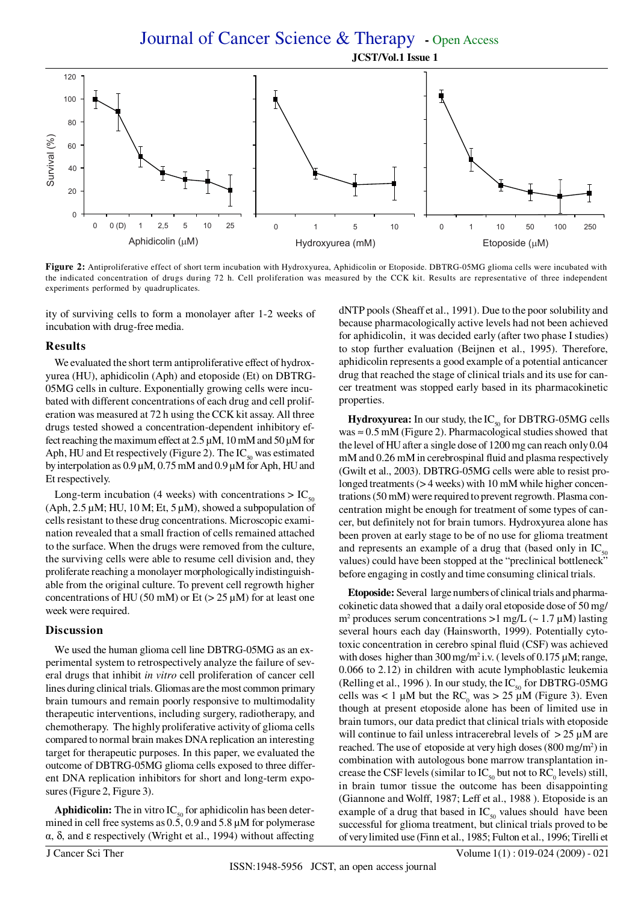Journal of Cancer Science & Therapy **-** Open Access  **JCST/Vol.1 Issue 1**



**Figure 2:** Antiproliferative effect of short term incubation with Hydroxyurea, Aphidicolin or Etoposide. DBTRG-05MG glioma cells were incubated with the indicated concentration of drugs during 72 h. Cell proliferation was measured by the CCK kit. Results are representative of three independent

ity of surviving cells to form a monolayer after 1-2 weeks of incubation with drug-free media.

#### **Results**

We evaluated the short term antiproliferative effect of hydroxyurea (HU), aphidicolin (Aph) and etoposide (Et) on DBTRG-05MG cells in culture. Exponentially growing cells were incubated with different concentrations of each drug and cell proliferation was measured at 72 h using the CCK kit assay. All three drugs tested showed a concentration-dependent inhibitory effect reaching the maximum effect at 2.5 µM, 10 mM and 50 µM for Aph, HU and Et respectively (Figure 2). The  $IC_{50}$  was estimated by interpolation as 0.9 µM, 0.75 mM and 0.9 µM for Aph, HU and Et respectively.

Long-term incubation (4 weeks) with concentrations  $> IC_{50}$  $(Aph, 2.5 \mu M; HU, 10 M; Et, 5 \mu M)$ , showed a subpopulation of cells resistant to these drug concentrations. Microscopic examination revealed that a small fraction of cells remained attached to the surface. When the drugs were removed from the culture, the surviving cells were able to resume cell division and, they proliferate reaching a monolayer morphologically indistinguishable from the original culture. To prevent cell regrowth higher concentrations of HU (50 mM) or Et ( $>$  25  $\mu$ M) for at least one week were required.

### **Discussion**

We used the human glioma cell line DBTRG-05MG as an experimental system to retrospectively analyze the failure of several drugs that inhibit *in vitro* cell proliferation of cancer cell lines during clinical trials. Gliomas are the most common primary brain tumours and remain poorly responsive to multimodality therapeutic interventions, including surgery, radiotherapy, and chemotherapy. The highly proliferative activity of glioma cells compared to normal brain makes DNA replication an interesting target for therapeutic purposes. In this paper, we evaluated the outcome of DBTRG-05MG glioma cells exposed to three different DNA replication inhibitors for short and long-term exposures (Figure 2, Figure 3).

**Aphidicolin:** The in vitro  $IC_{50}$  for aphidicolin has been determined in cell free systems as 0.5, 0.9 and 5.8  $\mu$ M for polymerase α, δ, and ε respectively (Wright et al., 1994) without affecting dNTP pools (Sheaff et al., 1991). Due to the poor solubility and because pharmacologically active levels had not been achieved for aphidicolin, it was decided early (after two phase I studies) to stop further evaluation (Beijnen et al., 1995). Therefore, aphidicolin represents a good example of a potential anticancer drug that reached the stage of clinical trials and its use for cancer treatment was stopped early based in its pharmacokinetic properties.

 $Hydroxy$ **urea:** In our study, the  $IC_{50}$  for DBTRG-05MG cells was  $\approx 0.5$  mM (Figure 2). Pharmacological studies showed that the level of HU after a single dose of 1200 mg can reach only 0.04 mM and 0.26 mM in cerebrospinal fluid and plasma respectively (Gwilt et al., 2003). DBTRG-05MG cells were able to resist prolonged treatments ( $>$  4 weeks) with 10 mM while higher concentrations (50 mM) were required to prevent regrowth. Plasma concentration might be enough for treatment of some types of cancer, but definitely not for brain tumors. Hydroxyurea alone has been proven at early stage to be of no use for glioma treatment and represents an example of a drug that (based only in  $IC_{50}$ values) could have been stopped at the "preclinical bottleneck" before engaging in costly and time consuming clinical trials.

**Etoposide:** Several large numbers of clinical trials and pharmacokinetic data showed that a daily oral etoposide dose of 50 mg/ m<sup>2</sup> produces serum concentrations  $>1$  mg/L ( $\sim 1.7 \mu$ M) lasting several hours each day (Hainsworth, 1999). Potentially cytotoxic concentration in cerebro spinal fluid (CSF) was achieved with doses higher than  $300 \,\text{mg/m}^2$  i.v. (levels of 0.175  $\mu$ M; range, 0.066 to 2.12) in children with acute lymphoblastic leukemia (Relling et al., 1996). In our study, the  $IC_{50}$  for DBTRG-05MG cells was < 1  $\mu$ M but the RC<sub>0</sub> was > 25  $\mu$ M (Figure 3). Even though at present etoposide alone has been of limited use in brain tumors, our data predict that clinical trials with etoposide will continue to fail unless intracerebral levels of  $> 25 \mu M$  are reached. The use of etoposide at very high doses (800 mg/m<sup>2</sup>) in combination with autologous bone marrow transplantation increase the CSF levels (similar to  $IC_{50}$  but not to  $RC_{0}$  levels) still, in brain tumor tissue the outcome has been disappointing (Giannone and Wolff, 1987; Leff et al., 1988 ). Etoposide is an example of a drug that based in  $IC_{50}$  values should have been successful for glioma treatment, but clinical trials proved to be of very limited use (Finn et al., 1985; Fulton et al., 1996; Tirelli et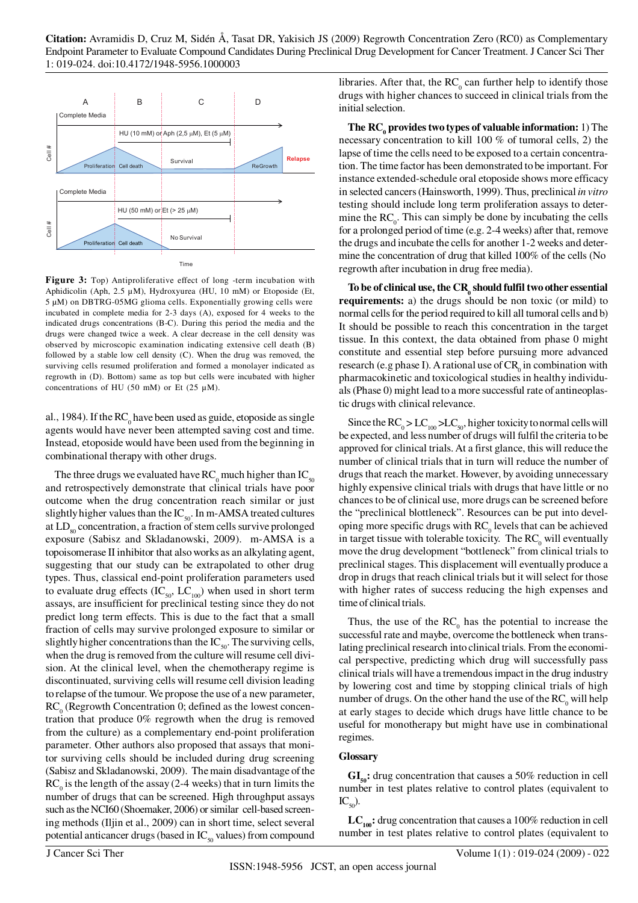

**Figure 3:** Top) Antiproliferative effect of long -term incubation with Aphidicolin (Aph, 2.5 µM), Hydroxyurea (HU, 10 mM) or Etoposide (Et, 5 µM) on DBTRG-05MG glioma cells. Exponentially growing cells were incubated in complete media for 2-3 days (A), exposed for 4 weeks to the indicated drugs concentrations (B-C). During this period the media and the drugs were changed twice a week. A clear decrease in the cell density was observed by microscopic examination indicating extensive cell death (B) followed by a stable low cell density (C). When the drug was removed, the surviving cells resumed proliferation and formed a monolayer indicated as regrowth in (D). Bottom) same as top but cells were incubated with higher concentrations of HU (50 mM) or Et (25  $\mu$ M).

al., 1984). If the  $RC_0$  have been used as guide, etoposide as single agents would have never been attempted saving cost and time. Instead, etoposide would have been used from the beginning in combinational therapy with other drugs.

The three drugs we evaluated have  $RC_0$  much higher than  $IC_{50}$ and retrospectively demonstrate that clinical trials have poor outcome when the drug concentration reach similar or just slightly higher values than the  $IC_{50}$ . In m-AMSA treated cultures at LD<sub>80</sub> concentration, a fraction of stem cells survive prolonged exposure (Sabisz and Skladanowski, 2009). m-AMSA is a topoisomerase II inhibitor that also works as an alkylating agent, suggesting that our study can be extrapolated to other drug types. Thus, classical end-point proliferation parameters used to evaluate drug effects  $(IC_{50}, LC_{100})$  when used in short term assays, are insufficient for preclinical testing since they do not predict long term effects. This is due to the fact that a small fraction of cells may survive prolonged exposure to similar or slightly higher concentrations than the IC<sub>50</sub>. The surviving cells, when the drug is removed from the culture will resume cell division. At the clinical level, when the chemotherapy regime is discontinuated, surviving cells will resume cell division leading to relapse of the tumour. We propose the use of a new parameter,  $RC<sub>0</sub>$  (Regrowth Concentration 0; defined as the lowest concentration that produce 0% regrowth when the drug is removed from the culture) as a complementary end-point proliferation parameter. Other authors also proposed that assays that monitor surviving cells should be included during drug screening (Sabisz and Skladanowski, 2009). The main disadvantage of the  $RC<sub>o</sub>$  is the length of the assay (2-4 weeks) that in turn limits the number of drugs that can be screened. High throughput assays such as the NCI60 (Shoemaker, 2006) or similar cell-based screening methods (Iljin et al., 2009) can in short time, select several potential anticancer drugs (based in  $IC_{50}$  values) from compound

libraries. After that, the  $RC_0$  can further help to identify those drugs with higher chances to succeed in clinical trials from the initial selection.

**The RC<sub>0</sub> provides two types of valuable information:** 1) The necessary concentration to kill 100 % of tumoral cells, 2) the lapse of time the cells need to be exposed to a certain concentration. The time factor has been demonstrated to be important. For instance extended-schedule oral etoposide shows more efficacy in selected cancers (Hainsworth, 1999). Thus, preclinical *in vitro* testing should include long term proliferation assays to determine the  $RC_0$ . This can simply be done by incubating the cells for a prolonged period of time (e.g. 2-4 weeks) after that, remove the drugs and incubate the cells for another 1-2 weeks and determine the concentration of drug that killed 100% of the cells (No regrowth after incubation in drug free media).

To be of clinical use, the CR<sub>0</sub> should fulfil two other essential **requirements:** a) the drugs should be non toxic (or mild) to normal cells for the period required to kill all tumoral cells and b) It should be possible to reach this concentration in the target tissue. In this context, the data obtained from phase 0 might constitute and essential step before pursuing more advanced research (e.g phase I). A rational use of  $CR_0$  in combination with pharmacokinetic and toxicological studies in healthy individuals (Phase 0) might lead to a more successful rate of antineoplastic drugs with clinical relevance.

Since the  $\text{RC}_0 > \text{LC}_{100} > \text{LC}_{50}$ , higher toxicity to normal cells will be expected, and less number of drugs will fulfil the criteria to be approved for clinical trials. At a first glance, this will reduce the number of clinical trials that in turn will reduce the number of drugs that reach the market. However, by avoiding unnecessary highly expensive clinical trials with drugs that have little or no chances to be of clinical use, more drugs can be screened before the "preclinical blottleneck". Resources can be put into developing more specific drugs with  $RC<sub>o</sub>$  levels that can be achieved in target tissue with tolerable toxicity. The  $RC_0$  will eventually move the drug development "bottleneck" from clinical trials to preclinical stages. This displacement will eventually produce a drop in drugs that reach clinical trials but it will select for those with higher rates of success reducing the high expenses and time of clinical trials.

Thus, the use of the  $RC_0$  has the potential to increase the successful rate and maybe, overcome the bottleneck when translating preclinical research into clinical trials. From the economical perspective, predicting which drug will successfully pass clinical trials will have a tremendous impact in the drug industry by lowering cost and time by stopping clinical trials of high number of drugs. On the other hand the use of the  $RC_0$  will help at early stages to decide which drugs have little chance to be useful for monotherapy but might have use in combinational regimes.

# **Glossary**

GI<sub>50</sub>: drug concentration that causes a 50% reduction in cell number in test plates relative to control plates (equivalent to  $\mathrm{IC}_{50}$ ).

 $LC_{100}$ : drug concentration that causes a 100% reduction in cell number in test plates relative to control plates (equivalent to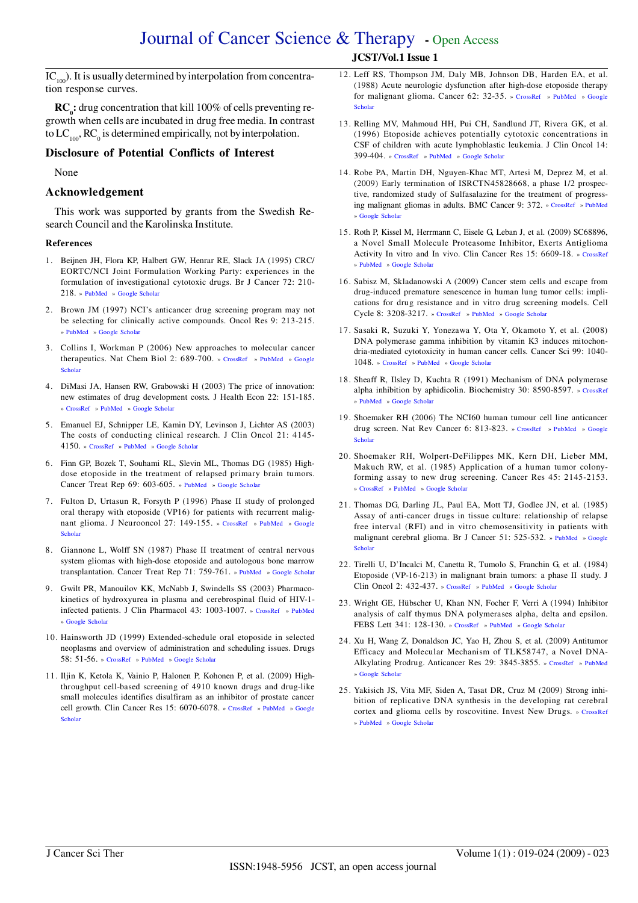# Journal of Cancer Science & Therapy **-** Open Access  **JCST/Vol.1 Issue 1**

 $IC_{100}$ ). It is usually determined by interpolation from concentration response curves.

**RC**<sup>1</sup> drug concentration that kill 100% of cells preventing regrowth when cells are incubated in drug free media. In contrast to  $LC_{100}$ ,  $RC_{0}$  is determined empirically, not by interpolation.

### **Disclosure of Potential Conflicts of Interest**

None

### **Acknowledgement**

This work was supported by grants from the Swedish Research Council and the Karolinska Institute.

#### **References**

- 1. Beijnen JH, Flora KP, Halbert GW, Henrar RE, Slack JA (1995) CRC/ EORTC/NCI Joint Formulation Working Party: experiences in the formulation of investigational cytotoxic drugs. Br J Cancer 72: 210- 218. » [PubMed](http://www.ncbi.nlm.nih.gov/pmc/articles/PMC2034157) » [Google Scholar](http://scholar.google.co.in/scholar?hl=en&q=CRC%2FEORTC%2FNCI+Joint+Formulation+Working+Party%3A+experiences+in+the+formulation+of+investigational+cytotoxic+drugs&btnG=Search&as_sdt=2000&as_ylo=&as_vis=0)
- 2. Brown JM (1997) NCI's anticancer drug screening program may not be selecting for clinically active compounds. Oncol Res 9: 213-215. » [PubMed](http://www.ncbi.nlm.nih.gov/pubmed/9306428) » [Google Scholar](http://scholar.google.co.in/scholar?hl=en&q=NCI%E2%80%99s+anticancer+drug+screening+program+may+not+be+selecting+for+clinically+active+compounds+1997&btnG=Search&as_sdt=2000&as_ylo=&as_vis=0)
- 3. Collins I, Workman P (2006) New approaches to molecular cancer [therapeutics. Nat Chem Biol](http://scholar.google.co.in/scholar?hl=en&q=New+approaches+to+molecular+cancer+therapeutics&btnG=Search&as_sdt=2000&as_ylo=&as_vis=0) 2: 689-700. » [CrossRef](http://www.nature.com/nchembio/journal/v2/n12/abs/nchembio840.html) » [PubMed](http://www.ncbi.nlm.nih.gov/pubmed/17108987) » Google Scholar
- 4. DiMasi JA, Hansen RW, Grabowski H (2003) The price of innovation: new estimates of drug development costs. J Health Econ 22: 151-185. » [CrossRef](http://www.sciencedirect.com/science?_ob=ArticleURL&_udi=B6V8K-47P93T9-2&_user=10&_rdoc=1&_fmt=&_orig=search&_sort=d&_docanchor=&view=c&_acct=C000050221&_version=1&_urlVersion=0&_userid=10&md5=d70e22f5f73c043ddea3dd561ab330f3) » [PubMed](http://www.ncbi.nlm.nih.gov/pubmed/12606142) » [Google Scholar](http://scholar.google.co.in/scholar?hl=en&q=The+price+of+innovation%3A+new+estimates+of+drug+development+costs&btnG=Search&as_sdt=2000&as_ylo=&as_vis=0)
- 5. Emanuel EJ, Schnipper LE, Kamin DY, Levinson J, Lichter AS (2003) The costs of conducting clinical research. J Clin Oncol 21: 4145- 4150. » [CrossRef](http://jco.ascopubs.org/cgi/content/full/21/22/4145) » [PubMed](http://www.ncbi.nlm.nih.gov/pubmed/14559889) » [Google Scholar](http://scholar.google.co.in/scholar?hl=en&q=The+costs+of+conducting+clinical+research&btnG=Search&as_sdt=2000&as_ylo=&as_vis=0)
- 6. Finn GP, Bozek T, Souhami RL, Slevin ML, Thomas DG (1985) Highdose etoposide in the treatment of relapsed primary brain tumors. Cancer Treat Rep 69: 603-605. » [PubMed](http://www.ncbi.nlm.nih.gov/pubmed/4016766) » [Google Scholar](http://scholar.google.co.in/scholar?hl=en&q=High-dose+etoposide+in+the+treatment+of+relapsed+primary+brain+tumors&btnG=Search&as_sdt=2000&as_ylo=&as_vis=0)
- 7. Fulton D, Urtasun R, Forsyth P (1996) Phase II study of prolonged oral therapy with etoposide (VP16) for patients with recurrent malig[nant glioma. J Neurooncol](http://scholar.google.co.in/scholar?hl=en&as_sdt=2000&q=Phase+II+study+of+prolonged+oral+therapy+with+etoposide+(VP+16)+for+patients+with+recurrent+malignant+glioma) 27: 149-155. » [CrossRef](http://www.springerlink.com/content/l46u4620x957260k/) » [PubMed](http://www.ncbi.nlm.nih.gov/pubmed/8699237) » Google Scholar
- 8. Giannone L, Wolff SN (1987) Phase II treatment of central nervous system gliomas with high-dose etoposide and autologous bone marrow transplantation. Cancer Treat Rep 71: 759-761. » [PubMed](http://www.ncbi.nlm.nih.gov/pubmed/3038317) » [Google Scholar](http://scholar.google.co.in/scholar?hl=en&q=Phase+II+treatment+of+central+nervous+system+gliomas+with+high-dose+etoposide+and+autologous+bone+marrow+transplantation&btnG=Search&as_sdt=2000&as_ylo=&as_vis=0)
- 9. Gwilt PR, Manouilov KK, McNabb J, Swindells SS (2003) Pharmacokinetics of hydroxyurea in plasma and cerebrospinal fluid of HIV-1 infected patients. J Clin Pharmacol 43: 1003-1007. » [CrossRef](http://jcp.sagepub.com/cgi/content/full/43/9/1003) » [PubMed](http://www.ncbi.nlm.nih.gov/pubmed/12971033) » [Google Scholar](http://scholar.google.co.in/scholar?hl=en&q=Pharmacokinetics+of+hydroxyurea+in+plasma+and+cerebrospinal+fluid+of+HIV-1-infected+patients&btnG=Search&as_sdt=2000&as_ylo=&as_vis=0)
- 10. Hainsworth JD (1999) Extended-schedule oral etoposide in selected neoplasms and overview of administration and scheduling issues. Drugs 58: 51-56. » [CrossRef](http://www.ingentaconnect.com/content/adis/dgs/1999/00000058/A00300s3/art00008) » [PubMed](http://www.ncbi.nlm.nih.gov/pubmed/10711842) » [Google Scholar](http://scholar.google.co.in/scholar?hl=en&q=Extended-schedule+oral+etoposide+in+selected+neoplasms+and+overview+of+administration+and+scheduling+issues&btnG=Search&as_sdt=2000&as_ylo=&as_vis=0)
- 11. Iljin K, Ketola K, Vainio P, Halonen P, Kohonen P, et al. (2009) Highthroughput cell-based screening of 4910 known drugs and drug-like small molecules identifies disulfiram as an inhibitor of prostate cancer [cell growth. Clin Cancer Res](http://scholar.google.co.in/scholar?hl=en&q=High-throughput+cell-based+screening+of+4910+known+drugs+and+drug-like+small+molecules+identifies+disulfiram+as+an+inhibitor+of+prostate+cancer+cell+growth&btnG=Search&as_sdt=2000&as_ylo=&as_vis=0) 15: 6070-6078. » [CrossRef](http://clincancerres.aacrjournals.org/content/15/19/6070.long) » [PubMed](http://www.ncbi.nlm.nih.gov/pubmed/19789329) » Google Scholar
- 12. Leff RS, Thompson JM, Daly MB, Johnson DB, Harden EA, et al. (1988) Acute neurologic dysfunction after high-dose etoposide therapy [for malignant glioma. Cancer](http://scholar.google.co.in/scholar?hl=en&q=Acute+neurologic+dysfunction+after+highdose+etoposide+therapy+for+malignant+glioma&btnG=Search&as_sdt=2000&as_ylo=&as_vis=0) 62: 32-35. » [CrossRef](http://www3.interscience.wiley.com/journal/112686402/abstract) » [PubMed](http://www.ncbi.nlm.nih.gov/pubmed/3289726) » Google Scholar
- 13. Relling MV, Mahmoud HH, Pui CH, Sandlund JT, Rivera GK, et al. (1996) Etoposide achieves potentially cytotoxic concentrations in CSF of children with acute lymphoblastic leukemia. J Clin Oncol 14: 399-404. » [CrossRef](http://jco.ascopubs.org/cgi/reprint/14/2/399) » [PubMed](http://www.ncbi.nlm.nih.gov/pubmed/8636749) » [Google Scholar](http://scholar.google.co.in/scholar?hl=en&q=Etoposide+achieves+potentially+cytotoxic+concentrations+in+CSF+of+children+with+acute+lymphoblastic+leukemia&btnG=Search&as_sdt=2000&as_ylo=&as_vis=0)
- 14. Robe PA, Martin DH, Nguyen-Khac MT, Artesi M, Deprez M, et al. (2009) Early termination of ISRCTN45828668, a phase 1/2 prospective, randomized study of Sulfasalazine for the treatment of progressing malignant gliomas in adults. BMC Cancer 9: 372. » [CrossRef](http://www.biomedcentral.com/1471-2407/9/372) » [PubMed](http://www.ncbi.nlm.nih.gov/pmc/articles/PMC2771045)  » [Google Scholar](http://scholar.google.co.in/scholar?hl=en&as_sdt=2000&q=Early+termination+of+ISRCTN+45828668,+a+phase+1/2+prospective,+randomized+study+of+Sulfasalazine+for+the+treatment+of+progressing+malignant+gliomas+in+adults)
- 15. Roth P, Kissel M, Herrmann C, Eisele G, Leban J, et al. (2009) SC68896, a Novel Small Molecule Proteasome Inhibitor, Exerts Antiglioma Activity In vitro and In vivo. Clin Cancer Res 15: 6609-18. » [CrossRef](http://clincancerres.aacrjournals.org/content/15/21/6609.long) » [PubMed](http://www.ncbi.nlm.nih.gov/pubmed/19825946) » [Google Scholar](http://scholar.google.co.in/scholar?hl=en&as_sdt=2000&q=SC68896,+a+Novel+Small+Molecule+Proteasome+Inhibitor,+Exerts+Anti+Glioma+Activity+In+vitro+and+In+vivo)
- 16. Sabisz M, Skladanowski A (2009) Cancer stem cells and escape from drug-induced premature senescence in human lung tumor cells: implications for drug resistance and in vitro drug screening models. Cell Cycle 8: 3208-3217. » [CrossRef](http://www.landesbioscience.com/journals/cc/article/9758/) » [PubMed](http://www.ncbi.nlm.nih.gov/pubmed/19738435) » [Google Scholar](http://scholar.google.co.in/scholar?hl=en&q=Cancer+stem+cells+and+escape+from+drug-induced+premature+senescence+in+human+lung+tumor+cells%3A+implications+for+drug+resistance+and+in+vitro+drug+screening+models&btnG=Search&as_sdt=2000&as_ylo=&as_vis=0)
- 17. Sasaki R, Suzuki Y, Yonezawa Y, Ota Y, Okamoto Y, et al. (2008) DNA polymerase gamma inhibition by vitamin K3 induces mitochondria-mediated cytotoxicity in human cancer cells. Cancer Sci 99: 1040- 1048. » [CrossRef](http://www3.interscience.wiley.com/journal/119415737/abstract) » [PubMed](http://www.ncbi.nlm.nih.gov/pubmed/18312466) » [Google Scholar](http://scholar.google.co.in/scholar?hl=en&q=DNA+polymerase+gamma+inhibition+by+vitamin+K3+induces+mitochondria-mediated+cytotoxicity+in+human+cancer+cells&btnG=Search&as_sdt=2000&as_ylo=&as_vis=0)
- 18. Sheaff R, Ilsley D, Kuchta R (1991) Mechanism of DNA polymerase alpha inhibition by aphidicolin. Biochemistry 30: 8590-8597. » [CrossRef](http://pubs.acs.org/doi/abs/10.1021/bi00099a014) » [PubMed](http://www.ncbi.nlm.nih.gov/pubmed/1909569) » [Google Scholar](http://scholar.google.co.in/scholar?hl=en&q=Mechanism+of+DNA+polymerase+alpha+inhibition+by+aphidicolin&btnG=Search&as_sdt=2000&as_ylo=&as_vis=0)
- 19. Shoemaker RH (2006) The NCI60 human tumour cell line anticancer [drug screen. Nat Rev Cancer](http://scholar.google.co.in/scholar?hl=en&as_sdt=2000&q=The+NCI+60+human+tumour+cell+line+anticancer+drug+screen) 6: 813-823. » [CrossRef](http://www.nature.com/nrc/journal/v6/n10/abs/nrc1951.html) » [PubMed](http://www.ncbi.nlm.nih.gov/pubmed/16990858) » Google Scholar
- 20. Shoemaker RH, Wolpert-DeFilippes MK, Kern DH, Lieber MM, Makuch RW, et al. (1985) Application of a human tumor colonyforming assay to new drug screening. Cancer Res 45: 2145-2153. » [CrossRef](http://cancerres.aacrjournals.org/cgi/reprint/45/5/2145) » [PubMed](http://www.ncbi.nlm.nih.gov/pubmed/3986767) » [Google Scholar](http://scholar.google.co.in/scholar?hl=en&q=Application+of+a+human+tumor+colony-forming+assay+to+new+drug+screening&btnG=Search&as_sdt=2000&as_ylo=&as_vis=0)
- 21. Thomas DG, Darling JL, Paul EA, Mott TJ, Godlee JN, et al*.* (1985) Assay of anti-cancer drugs in tissue culture: relationship of relapse free interval (RFI) and in vitro chemosensitivity in patients with [malignant cerebral glioma. Br J Cancer](http://scholar.google.co.in/scholar?hl=en&q=Assay+of+anti-cancer+drugs+in+tissue+culture%3A+relationship+of+relapse+free+interval+(RFI)+and+in+vitro+chemosensitivity+in+patients+with+malignant+cerebral+glioma&btnG=Search&as_sdt=2000&as_ylo=&as_vis=0) 51: 525-532. » [PubMed](http://www.ncbi.nlm.nih.gov/pmc/articles/PMC1977138) » Google Scholar
- 22. Tirelli U, D'Incalci M, Canetta R, Tumolo S, Franchin G, et al. (1984) Etoposide (VP-16-213) in malignant brain tumors: a phase II study. J Clin Oncol 2: 432-437. » [CrossRef](http://jco.ascopubs.org/cgi/reprint/2/5/432) » [PubMed](http://www.ncbi.nlm.nih.gov/pubmed/6726296) » [Google Scholar](http://scholar.google.co.in/scholar?hl=en&q=Etoposide+(VP-16-213)+in+malignant+brain+tumors%3A+a+phase+II+study&btnG=Search&as_sdt=2000&as_ylo=&as_vis=0)
- 23. Wright GE, Hübscher U, Khan NN, Focher F, Verri A (1994) Inhibitor analysis of calf thymus DNA polymerases alpha, delta and epsilon. FEBS Lett 341: 128-130. » [CrossRef](http://cat.inist.fr/?aModele=afficheN&cpsidt=4039258) » [PubMed](http://www.ncbi.nlm.nih.gov/pubmed/8137912) » [Google Scholar](http://scholar.google.co.in/scholar?hl=en&q=Wright+GE%2C+H%C3%BCbscher+U%2C+Khan+NN%2C+Focher+F%2C+Verri+A+(1994)+&btnG=Search&as_sdt=2000&as_ylo=&as_vis=0)
- 24. Xu H, Wang Z, Donaldson JC, Yao H, Zhou S, et al*.* (2009) Antitumor Efficacy and Molecular Mechanism of TLK58747, a Novel DNA-Alkylating Prodrug. Anticancer Res 29: 3845-3855. » [CrossRef](http://ar.iiarjournals.org/content/29/10/3845.long) » [PubMed](http://www.ncbi.nlm.nih.gov/pubmed/19846918) » Google Schola
- 25. Yakisich JS, Vita MF, Siden A, Tasat DR, Cruz M (2009) Strong inhibition of replicative DNA synthesis in the developing rat cerebral cortex and glioma cells by roscovitine. Invest New Drugs. » [CrossRef](http://www.springerlink.com/content/66625p165t110478/) » [PubMed](http://www.ncbi.nlm.nih.gov/pubmed/19390782) » [Google Scholar](http://scholar.google.co.in/scholar?hl=en&as_sdt=2000&q=Strong+inhibition+of+replication+DNA+synthesis+in+the+developing+rat+cerebral+cortex+and+glioma+cells+by+roscovitine)